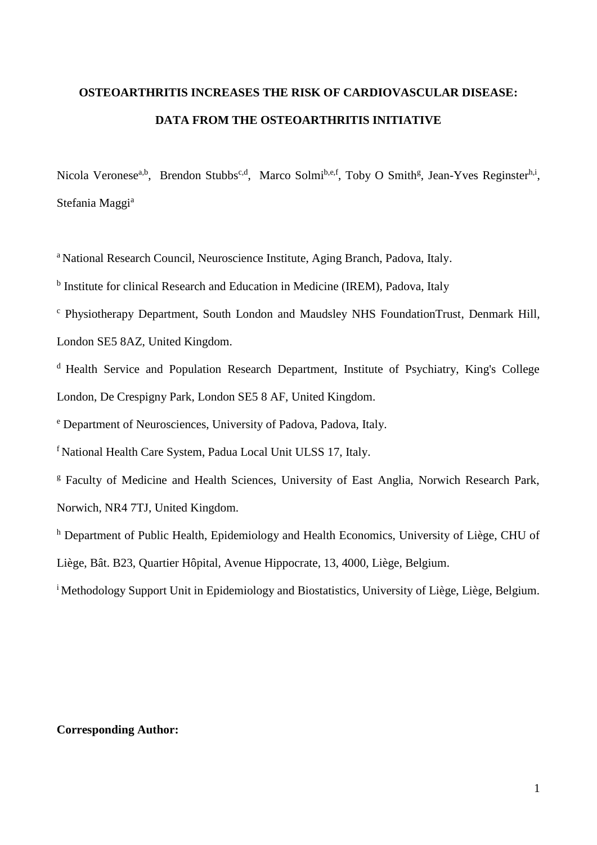# **OSTEOARTHRITIS INCREASES THE RISK OF CARDIOVASCULAR DISEASE: DATA FROM THE OSTEOARTHRITIS INITIATIVE**

Nicola Veronese<sup>a,b</sup>, Brendon Stubbs<sup>c,d</sup>, Marco Solmi<sup>b,e,f</sup>, Toby O Smith<sup>g</sup>, Jean-Yves Reginster<sup>h,i</sup>, Stefania Maggi<sup>a</sup>

<sup>a</sup> National Research Council, Neuroscience Institute, Aging Branch, Padova, Italy.

<sup>b</sup> Institute for clinical Research and Education in Medicine (IREM), Padova, Italy

<sup>c</sup> Physiotherapy Department, South London and Maudsley NHS FoundationTrust, Denmark Hill,

London SE5 8AZ, United Kingdom.

<sup>d</sup> Health Service and Population Research Department, Institute of Psychiatry, King's College London, De Crespigny Park, London SE5 8 AF, United Kingdom.

<sup>e</sup> Department of Neurosciences, University of Padova, Padova, Italy.

<sup>f</sup> National Health Care System, Padua Local Unit ULSS 17, Italy.

<sup>g</sup> Faculty of Medicine and Health Sciences, University of East Anglia, Norwich Research Park, Norwich, NR4 7TJ, United Kingdom.

<sup>h</sup> Department of Public Health, Epidemiology and Health Economics, University of Liège, CHU of

Liège, Bât. B23, Quartier Hôpital, Avenue Hippocrate, 13, 4000, Liège, Belgium.

<sup>i</sup> Methodology Support Unit in Epidemiology and Biostatistics, University of Liège, Liège, Belgium.

# **Corresponding Author:**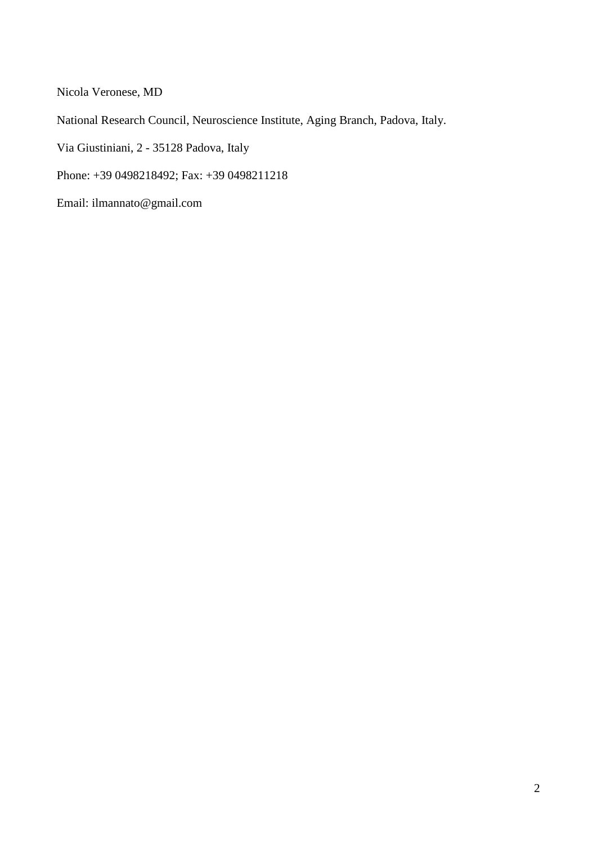Nicola Veronese, MD

National Research Council, Neuroscience Institute, Aging Branch, Padova, Italy.

Via Giustiniani, 2 - 35128 Padova, Italy

Phone: +39 0498218492; Fax: +39 0498211218

Email: ilmannato@gmail.com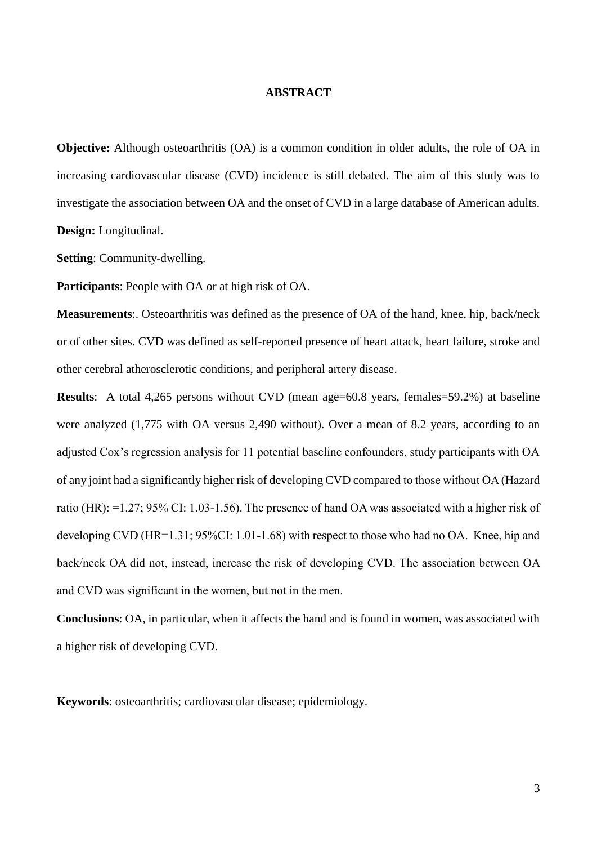# **ABSTRACT**

**Objective:** Although osteoarthritis (OA) is a common condition in older adults, the role of OA in increasing cardiovascular disease (CVD) incidence is still debated. The aim of this study was to investigate the association between OA and the onset of CVD in a large database of American adults. **Design:** Longitudinal.

**Setting**: Community-dwelling.

**Participants**: People with OA or at high risk of OA.

**Measurements**:. Osteoarthritis was defined as the presence of OA of the hand, knee, hip, back/neck or of other sites. CVD was defined as self-reported presence of heart attack, heart failure, stroke and other cerebral atherosclerotic conditions, and peripheral artery disease.

**Results**: A total 4,265 persons without CVD (mean age=60.8 years, females=59.2%) at baseline were analyzed (1,775 with OA versus 2,490 without). Over a mean of 8.2 years, according to an adjusted Cox's regression analysis for 11 potential baseline confounders, study participants with OA of any joint had a significantly higher risk of developing CVD compared to those without OA (Hazard ratio (HR): =1.27; 95% CI: 1.03-1.56). The presence of hand OA was associated with a higher risk of developing CVD (HR=1.31; 95%CI: 1.01-1.68) with respect to those who had no OA. Knee, hip and back/neck OA did not, instead, increase the risk of developing CVD. The association between OA and CVD was significant in the women, but not in the men.

**Conclusions**: OA, in particular, when it affects the hand and is found in women, was associated with a higher risk of developing CVD.

**Keywords**: osteoarthritis; cardiovascular disease; epidemiology.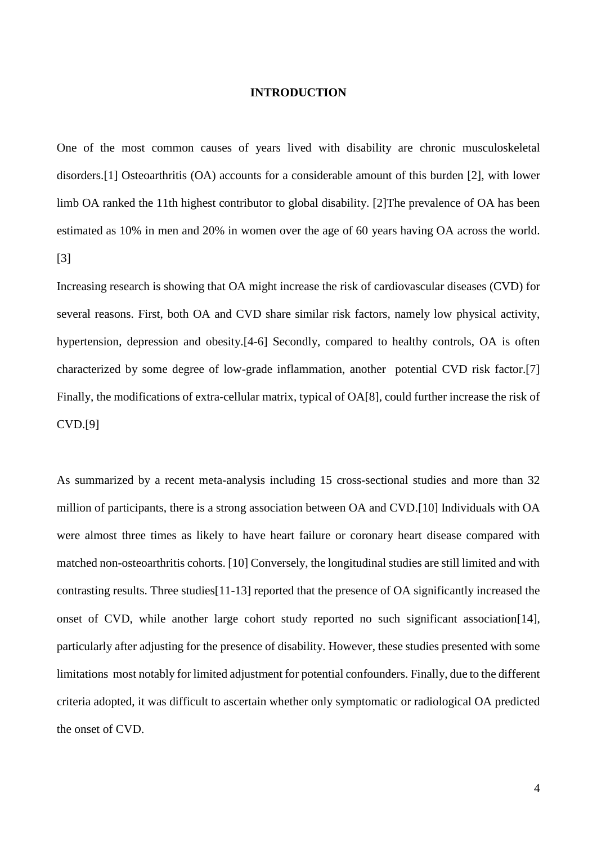# **INTRODUCTION**

One of the most common causes of years lived with disability are chronic musculoskeletal disorders.[\[1\]](#page-14-0) Osteoarthritis (OA) accounts for a considerable amount of this burden [\[2\]](#page-14-1), with lower limb OA ranked the 11th highest contributor to global disability. [\[2\]](#page-14-1)The prevalence of OA has been estimated as 10% in men and 20% in women over the age of 60 years having OA across the world. [\[3\]](#page-14-2)

Increasing research is showing that OA might increase the risk of cardiovascular diseases (CVD) for several reasons. First, both OA and CVD share similar risk factors, namely low physical activity, hypertension, depression and obesity.[\[4-6\]](#page-14-3) Secondly, compared to healthy controls, OA is often characterized by some degree of low-grade inflammation, another potential CVD risk factor.[\[7\]](#page-15-0) Finally, the modifications of extra-cellular matrix, typical of OA[\[8\]](#page-15-1), could further increase the risk of CVD.[\[9\]](#page-15-2)

As summarized by a recent meta-analysis including 15 cross-sectional studies and more than 32 million of participants, there is a strong association between OA and CVD.[\[10\]](#page-15-3) Individuals with OA were almost three times as likely to have heart failure or coronary heart disease compared with matched non-osteoarthritis cohorts. [\[10\]](#page-15-3) Conversely, the longitudinal studies are still limited and with contrasting results. Three studies[\[11-13\]](#page-15-4) reported that the presence of OA significantly increased the onset of CVD, while another large cohort study reported no such significant association[\[14\]](#page-15-5), particularly after adjusting for the presence of disability. However, these studies presented with some limitations most notably for limited adjustment for potential confounders. Finally, due to the different criteria adopted, it was difficult to ascertain whether only symptomatic or radiological OA predicted the onset of CVD.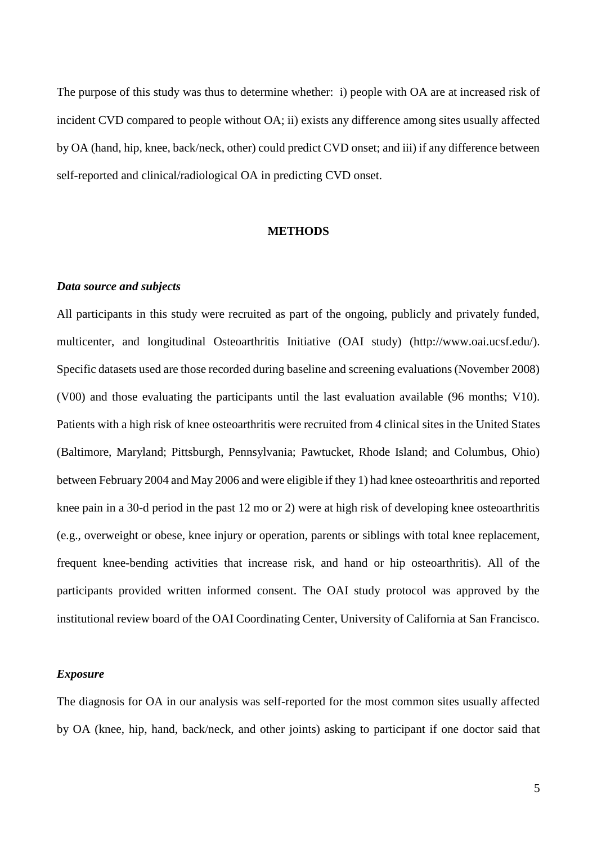The purpose of this study was thus to determine whether: i) people with OA are at increased risk of incident CVD compared to people without OA; ii) exists any difference among sites usually affected by OA (hand, hip, knee, back/neck, other) could predict CVD onset; and iii) if any difference between self-reported and clinical/radiological OA in predicting CVD onset.

# **METHODS**

# *Data source and subjects*

All participants in this study were recruited as part of the ongoing, publicly and privately funded, multicenter, and longitudinal Osteoarthritis Initiative (OAI study) (http://www.oai.ucsf.edu/). Specific datasets used are those recorded during baseline and screening evaluations (November 2008) (V00) and those evaluating the participants until the last evaluation available (96 months; V10). Patients with a high risk of knee osteoarthritis were recruited from 4 clinical sites in the United States (Baltimore, Maryland; Pittsburgh, Pennsylvania; Pawtucket, Rhode Island; and Columbus, Ohio) between February 2004 and May 2006 and were eligible if they 1) had knee osteoarthritis and reported knee pain in a 30-d period in the past 12 mo or 2) were at high risk of developing knee osteoarthritis (e.g., overweight or obese, knee injury or operation, parents or siblings with total knee replacement, frequent knee-bending activities that increase risk, and hand or hip osteoarthritis). All of the participants provided written informed consent. The OAI study protocol was approved by the institutional review board of the OAI Coordinating Center, University of California at San Francisco.

# *Exposure*

The diagnosis for OA in our analysis was self-reported for the most common sites usually affected by OA (knee, hip, hand, back/neck, and other joints) asking to participant if one doctor said that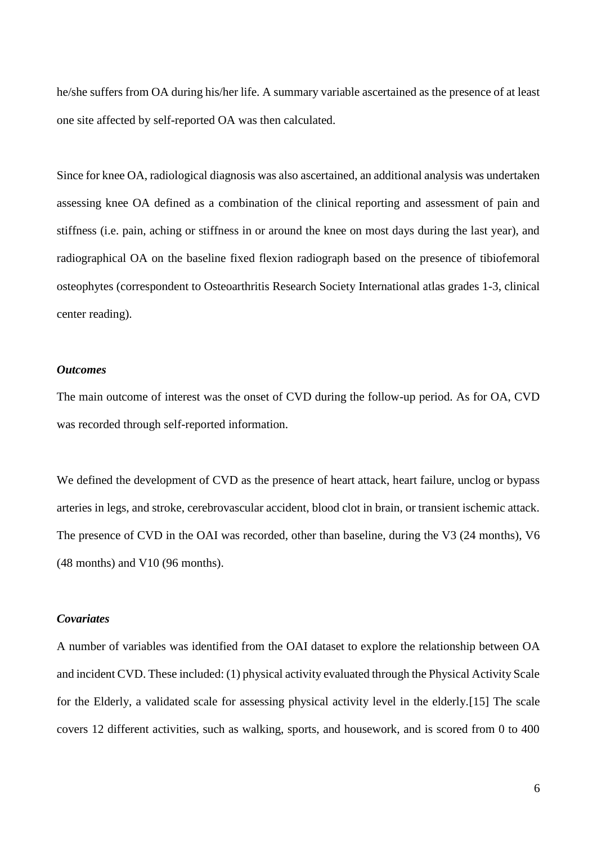he/she suffers from OA during his/her life. A summary variable ascertained as the presence of at least one site affected by self-reported OA was then calculated.

Since for knee OA, radiological diagnosis was also ascertained, an additional analysis was undertaken assessing knee OA defined as a combination of the clinical reporting and assessment of pain and stiffness (i.e. pain, aching or stiffness in or around the knee on most days during the last year), and radiographical OA on the baseline fixed flexion radiograph based on the presence of tibiofemoral osteophytes (correspondent to Osteoarthritis Research Society International atlas grades 1-3, clinical center reading).

# *Outcomes*

The main outcome of interest was the onset of CVD during the follow-up period. As for OA, CVD was recorded through self-reported information.

We defined the development of CVD as the presence of heart attack, heart failure, unclog or bypass arteries in legs, and stroke, cerebrovascular accident, blood clot in brain, or transient ischemic attack. The presence of CVD in the OAI was recorded, other than baseline, during the V3 (24 months), V6 (48 months) and V10 (96 months).

# *Covariates*

A number of variables was identified from the OAI dataset to explore the relationship between OA and incident CVD. These included: (1) physical activity evaluated through the Physical Activity Scale for the Elderly, a validated scale for assessing physical activity level in the elderly.[\[15\]](#page-16-0) The scale covers 12 different activities, such as walking, sports, and housework, and is scored from 0 to 400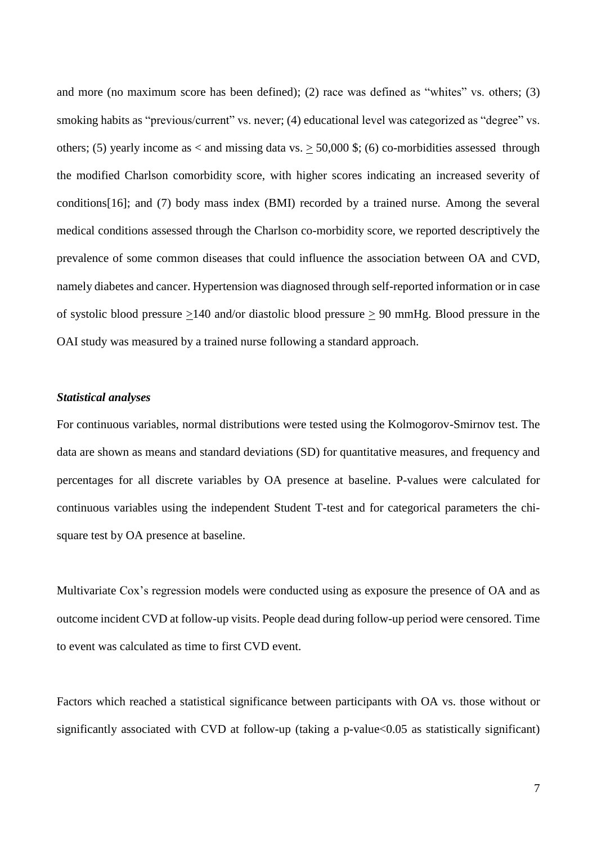and more (no maximum score has been defined); (2) race was defined as "whites" vs. others; (3) smoking habits as "previous/current" vs. never; (4) educational level was categorized as "degree" vs. others; (5) yearly income as  $\langle$  and missing data vs.  $\geq$  50,000 \$; (6) co-morbidities assessed through the modified Charlson comorbidity score, with higher scores indicating an increased severity of conditions[\[16\]](#page-16-1); and (7) body mass index (BMI) recorded by a trained nurse. Among the several medical conditions assessed through the Charlson co-morbidity score, we reported descriptively the prevalence of some common diseases that could influence the association between OA and CVD, namely diabetes and cancer. Hypertension was diagnosed through self-reported information or in case of systolic blood pressure >140 and/or diastolic blood pressure > 90 mmHg. Blood pressure in the OAI study was measured by a trained nurse following a standard approach.

## *Statistical analyses*

For continuous variables, normal distributions were tested using the Kolmogorov-Smirnov test. The data are shown as means and standard deviations (SD) for quantitative measures, and frequency and percentages for all discrete variables by OA presence at baseline. P-values were calculated for continuous variables using the independent Student T-test and for categorical parameters the chisquare test by OA presence at baseline.

Multivariate Cox's regression models were conducted using as exposure the presence of OA and as outcome incident CVD at follow-up visits. People dead during follow-up period were censored. Time to event was calculated as time to first CVD event.

Factors which reached a statistical significance between participants with OA vs. those without or significantly associated with CVD at follow-up (taking a p-value<0.05 as statistically significant)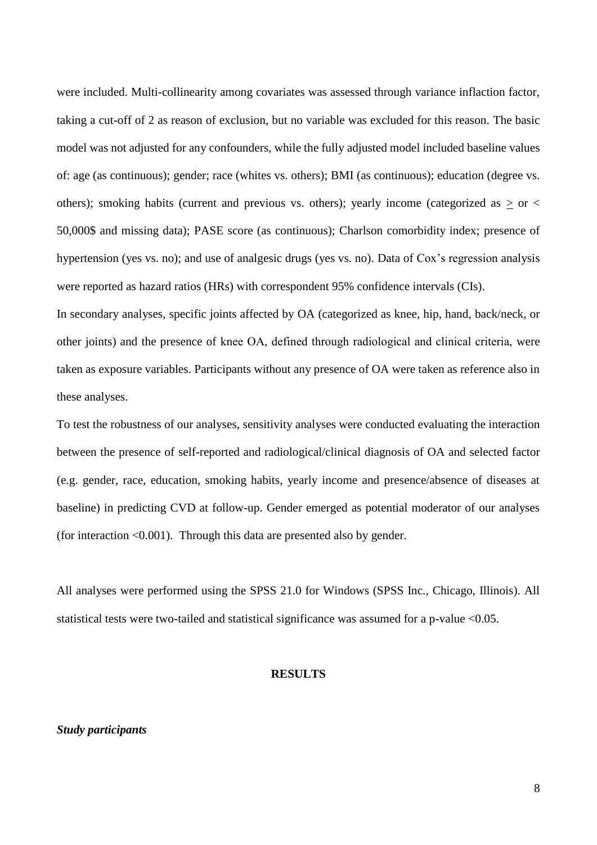were included. Multi-collinearity among covariates was assessed through variance inflaction factor, taking a cut-off of 2 as reason of exclusion, but no variable was excluded for this reason. The basic model was not adjusted for any confounders, while the fully adjusted model included baseline values of: age (as continuous); gender; race (whites vs. others); BMI (as continuous); education (degree vs. others); smoking habits (current and previous vs. others); yearly income (categorized as  $\geq$  or  $\lt$ 50,000\$ and missing data); PASE score (as continuous); Charlson comorbidity index; presence of hypertension (yes vs. no); and use of analgesic drugs (yes vs. no). Data of Cox's regression analysis were reported as hazard ratios (HRs) with correspondent 95% confidence intervals (CIs).

In secondary analyses, specific joints affected by OA (categorized as knee, hip, hand, back/neck, or other joints) and the presence of knee OA, defined through radiological and clinical criteria, were taken as exposure variables. Participants without any presence of OA were taken as reference also in these analyses.

To test the robustness of our analyses, sensitivity analyses were conducted evaluating the interaction between the presence of self-reported and radiological/clinical diagnosis of OA and selected factor (e.g. gender, race, education, smoking habits, yearly income and presence/absence of diseases at baseline) in predicting CVD at follow-up. Gender emerged as potential moderator of our analyses (for interaction  $\leq 0.001$ ). Through this data are presented also by gender.

All analyses were performed using the SPSS 21.0 for Windows (SPSS Inc., Chicago, Illinois). All statistical tests were two-tailed and statistical significance was assumed for a p-value <0.05.

#### **RESULTS**

# *Study participants*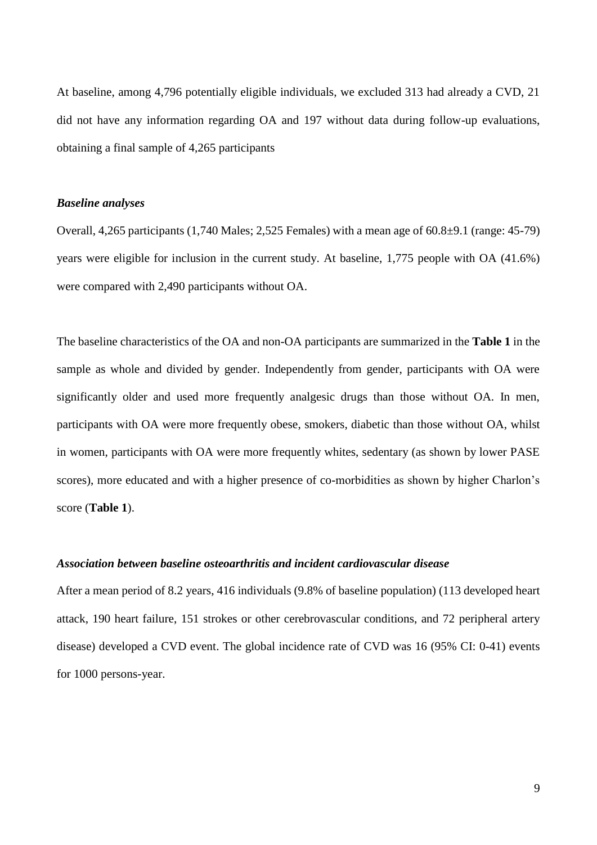At baseline, among 4,796 potentially eligible individuals, we excluded 313 had already a CVD, 21 did not have any information regarding OA and 197 without data during follow-up evaluations, obtaining a final sample of 4,265 participants

# *Baseline analyses*

Overall, 4,265 participants (1,740 Males; 2,525 Females) with a mean age of 60.8±9.1 (range: 45-79) years were eligible for inclusion in the current study. At baseline, 1,775 people with OA (41.6%) were compared with 2,490 participants without OA.

The baseline characteristics of the OA and non-OA participants are summarized in the **Table 1** in the sample as whole and divided by gender. Independently from gender, participants with OA were significantly older and used more frequently analgesic drugs than those without OA. In men, participants with OA were more frequently obese, smokers, diabetic than those without OA, whilst in women, participants with OA were more frequently whites, sedentary (as shown by lower PASE scores), more educated and with a higher presence of co-morbidities as shown by higher Charlon's score (**Table 1**).

# *Association between baseline osteoarthritis and incident cardiovascular disease*

After a mean period of 8.2 years, 416 individuals (9.8% of baseline population) (113 developed heart attack, 190 heart failure, 151 strokes or other cerebrovascular conditions, and 72 peripheral artery disease) developed a CVD event. The global incidence rate of CVD was 16 (95% CI: 0-41) events for 1000 persons-year.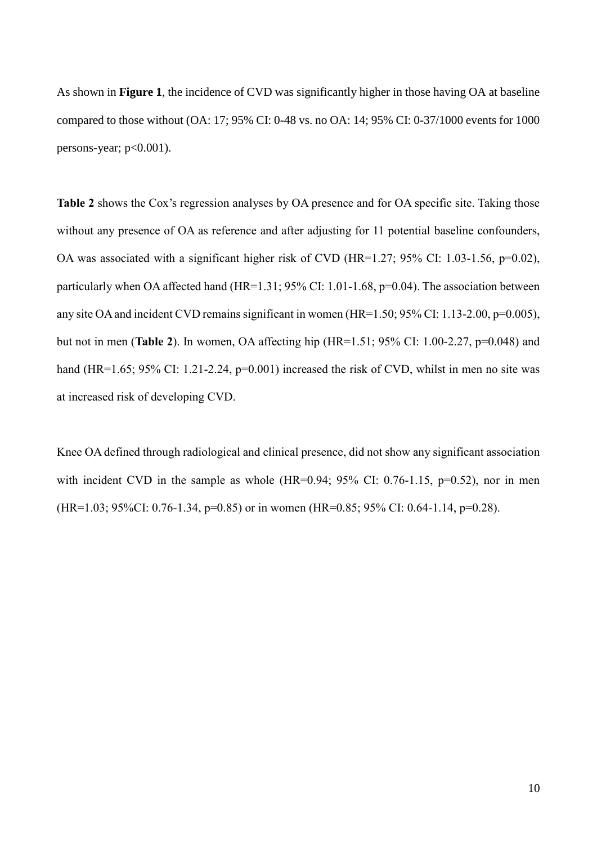As shown in **Figure 1**, the incidence of CVD was significantly higher in those having OA at baseline compared to those without (OA: 17; 95% CI: 0-48 vs. no OA: 14; 95% CI: 0-37/1000 events for 1000 persons-year; p<0.001).

**Table 2** shows the Cox's regression analyses by OA presence and for OA specific site. Taking those without any presence of OA as reference and after adjusting for 11 potential baseline confounders, OA was associated with a significant higher risk of CVD (HR=1.27; 95% CI: 1.03-1.56, p=0.02), particularly when OA affected hand (HR=1.31; 95% CI: 1.01-1.68, p=0.04). The association between any site OA and incident CVD remains significant in women (HR=1.50; 95% CI: 1.13-2.00, p=0.005), but not in men (**Table 2**). In women, OA affecting hip (HR=1.51; 95% CI: 1.00-2.27, p=0.048) and hand (HR=1.65; 95% CI: 1.21-2.24, p=0.001) increased the risk of CVD, whilst in men no site was at increased risk of developing CVD.

Knee OA defined through radiological and clinical presence, did not show any significant association with incident CVD in the sample as whole  $(HR=0.94; 95\% \text{ CI: } 0.76-1.15, \text{ p=0.52}),$  nor in men (HR=1.03; 95%CI: 0.76-1.34, p=0.85) or in women (HR=0.85; 95% CI: 0.64-1.14, p=0.28).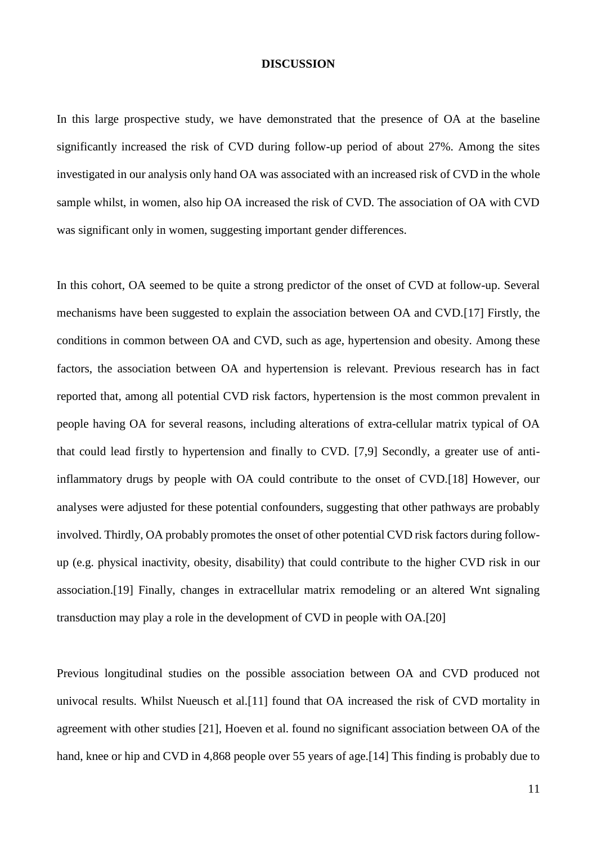#### **DISCUSSION**

In this large prospective study, we have demonstrated that the presence of OA at the baseline significantly increased the risk of CVD during follow-up period of about 27%. Among the sites investigated in our analysis only hand OA was associated with an increased risk of CVD in the whole sample whilst, in women, also hip OA increased the risk of CVD. The association of OA with CVD was significant only in women, suggesting important gender differences.

In this cohort, OA seemed to be quite a strong predictor of the onset of CVD at follow-up. Several mechanisms have been suggested to explain the association between OA and CVD.[\[17\]](#page-16-2) Firstly, the conditions in common between OA and CVD, such as age, hypertension and obesity. Among these factors, the association between OA and hypertension is relevant. Previous research has in fact reported that, among all potential CVD risk factors, hypertension is the most common prevalent in people having OA for several reasons, including alterations of extra-cellular matrix typical of OA that could lead firstly to hypertension and finally to CVD. [7,9] Secondly, a greater use of antiinflammatory drugs by people with OA could contribute to the onset of CVD.[\[18\]](#page-16-3) However, our analyses were adjusted for these potential confounders, suggesting that other pathways are probably involved. Thirdly, OA probably promotes the onset of other potential CVD risk factors during followup (e.g. physical inactivity, obesity, disability) that could contribute to the higher CVD risk in our association.[\[19\]](#page-16-4) Finally, changes in extracellular matrix remodeling or an altered Wnt signaling transduction may play a role in the development of CVD in people with OA.[\[20\]](#page-16-5)

Previous longitudinal studies on the possible association between OA and CVD produced not univocal results. Whilst Nueusch et al.[\[11\]](#page-15-4) found that OA increased the risk of CVD mortality in agreement with other studies [\[21\]](#page-16-6), Hoeven et al. found no significant association between OA of the hand, knee or hip and CVD in 4,868 people over 55 years of age. [\[14\]](#page-15-5) This finding is probably due to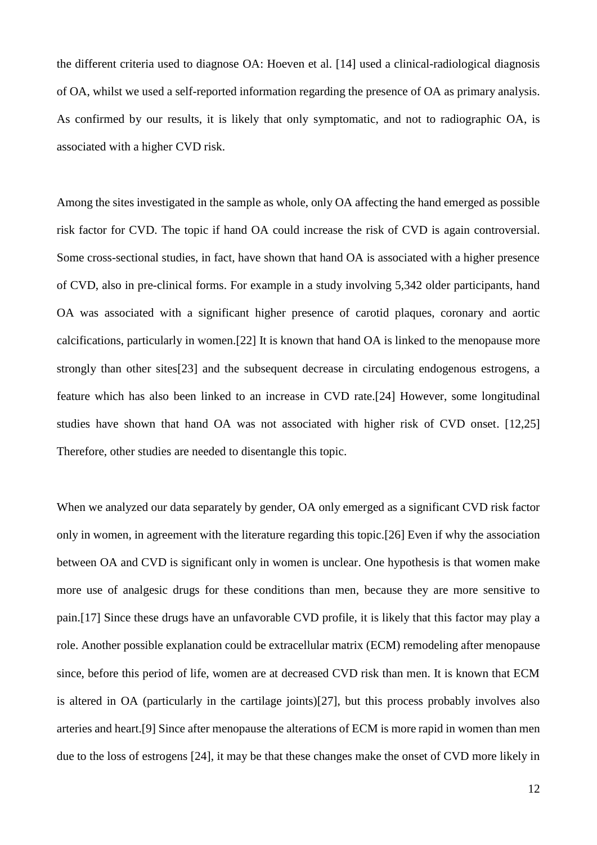the different criteria used to diagnose OA: Hoeven et al. [\[14\]](#page-15-5) used a clinical-radiological diagnosis of OA, whilst we used a self-reported information regarding the presence of OA as primary analysis. As confirmed by our results, it is likely that only symptomatic, and not to radiographic OA, is associated with a higher CVD risk.

Among the sites investigated in the sample as whole, only OA affecting the hand emerged as possible risk factor for CVD. The topic if hand OA could increase the risk of CVD is again controversial. Some cross-sectional studies, in fact, have shown that hand OA is associated with a higher presence of CVD, also in pre-clinical forms. For example in a study involving 5,342 older participants, hand OA was associated with a significant higher presence of carotid plaques, coronary and aortic calcifications, particularly in women.[\[22\]](#page-16-7) It is known that hand OA is linked to the menopause more strongly than other sites[\[23\]](#page-17-0) and the subsequent decrease in circulating endogenous estrogens, a feature which has also been linked to an increase in CVD rate.[\[24\]](#page-17-1) However, some longitudinal studies have shown that hand OA was not associated with higher risk of CVD onset. [\[12](#page-15-6)[,25\]](#page-17-2) Therefore, other studies are needed to disentangle this topic.

When we analyzed our data separately by gender, OA only emerged as a significant CVD risk factor only in women, in agreement with the literature regarding this topic.[\[26\]](#page-17-3) Even if why the association between OA and CVD is significant only in women is unclear. One hypothesis is that women make more use of analgesic drugs for these conditions than men, because they are more sensitive to pain.[\[17\]](#page-16-2) Since these drugs have an unfavorable CVD profile, it is likely that this factor may play a role. Another possible explanation could be extracellular matrix (ECM) remodeling after menopause since, before this period of life, women are at decreased CVD risk than men. It is known that ECM is altered in OA (particularly in the cartilage joints)[\[27\]](#page-17-4), but this process probably involves also arteries and heart.[\[9\]](#page-15-2) Since after menopause the alterations of ECM is more rapid in women than men due to the loss of estrogens [\[24\]](#page-17-1), it may be that these changes make the onset of CVD more likely in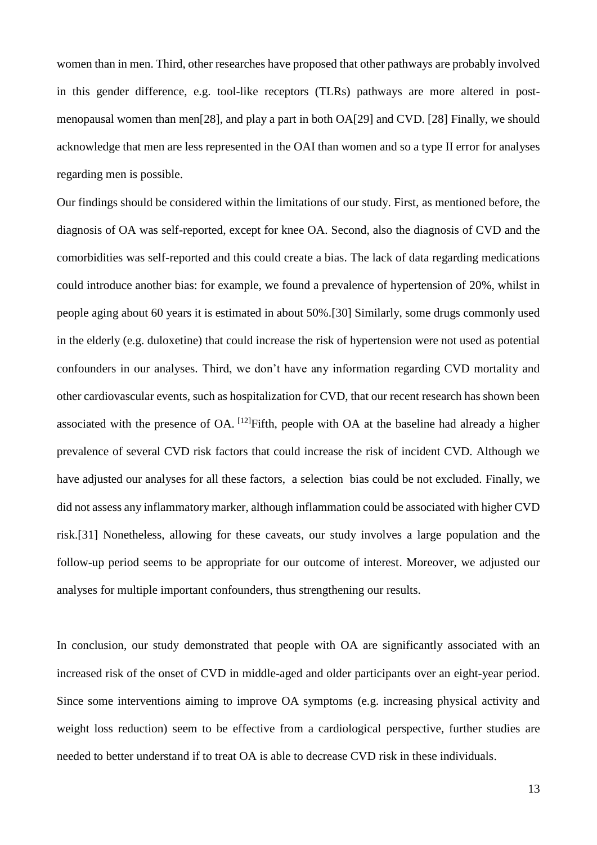women than in men. Third, other researches have proposed that other pathways are probably involved in this gender difference, e.g. tool-like receptors (TLRs) pathways are more altered in postmenopausal women than men[\[28\]](#page-17-5), and play a part in both OA[\[29\]](#page-17-6) and CVD. [\[28\]](#page-17-5) Finally, we should acknowledge that men are less represented in the OAI than women and so a type II error for analyses regarding men is possible.

Our findings should be considered within the limitations of our study. First, as mentioned before, the diagnosis of OA was self-reported, except for knee OA. Second, also the diagnosis of CVD and the comorbidities was self-reported and this could create a bias. The lack of data regarding medications could introduce another bias: for example, we found a prevalence of hypertension of 20%, whilst in people aging about 60 years it is estimated in about 50%.[\[30\]](#page-17-7) Similarly, some drugs commonly used in the elderly (e.g. duloxetine) that could increase the risk of hypertension were not used as potential confounders in our analyses. Third, we don't have any information regarding CVD mortality and other cardiovascular events, such as hospitalization for CVD, that our recent research has shown been associated with the presence of OA.  $^{[12]}$  $^{[12]}$  $^{[12]}$ Fifth, people with OA at the baseline had already a higher prevalence of several CVD risk factors that could increase the risk of incident CVD. Although we have adjusted our analyses for all these factors, a selection bias could be not excluded. Finally, we did not assess any inflammatory marker, although inflammation could be associated with higher CVD risk.[\[31\]](#page-18-0) Nonetheless, allowing for these caveats, our study involves a large population and the follow-up period seems to be appropriate for our outcome of interest. Moreover, we adjusted our analyses for multiple important confounders, thus strengthening our results.

In conclusion, our study demonstrated that people with OA are significantly associated with an increased risk of the onset of CVD in middle-aged and older participants over an eight-year period. Since some interventions aiming to improve OA symptoms (e.g. increasing physical activity and weight loss reduction) seem to be effective from a cardiological perspective, further studies are needed to better understand if to treat OA is able to decrease CVD risk in these individuals.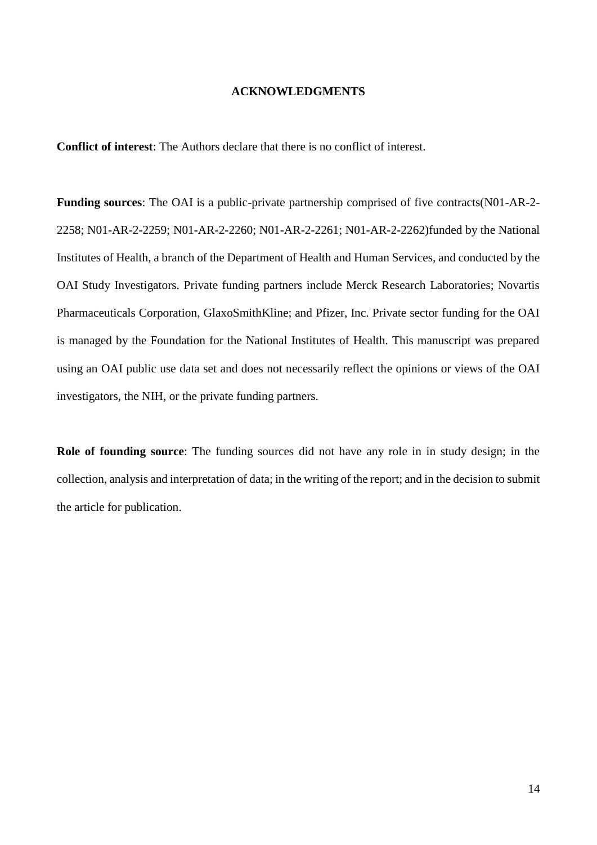## **ACKNOWLEDGMENTS**

**Conflict of interest**: The Authors declare that there is no conflict of interest.

**Funding sources**: The OAI is a public-private partnership comprised of five contracts(N01-AR-2- 2258; N01-AR-2-2259; N01-AR-2-2260; N01-AR-2-2261; N01-AR-2-2262)funded by the National Institutes of Health, a branch of the Department of Health and Human Services, and conducted by the OAI Study Investigators. Private funding partners include Merck Research Laboratories; Novartis Pharmaceuticals Corporation, GlaxoSmithKline; and Pfizer, Inc. Private sector funding for the OAI is managed by the Foundation for the National Institutes of Health. This manuscript was prepared using an OAI public use data set and does not necessarily reflect the opinions or views of the OAI investigators, the NIH, or the private funding partners.

**Role of founding source**: The funding sources did not have any role in in study design; in the collection, analysis and interpretation of data; in the writing of the report; and in the decision to submit the article for publication.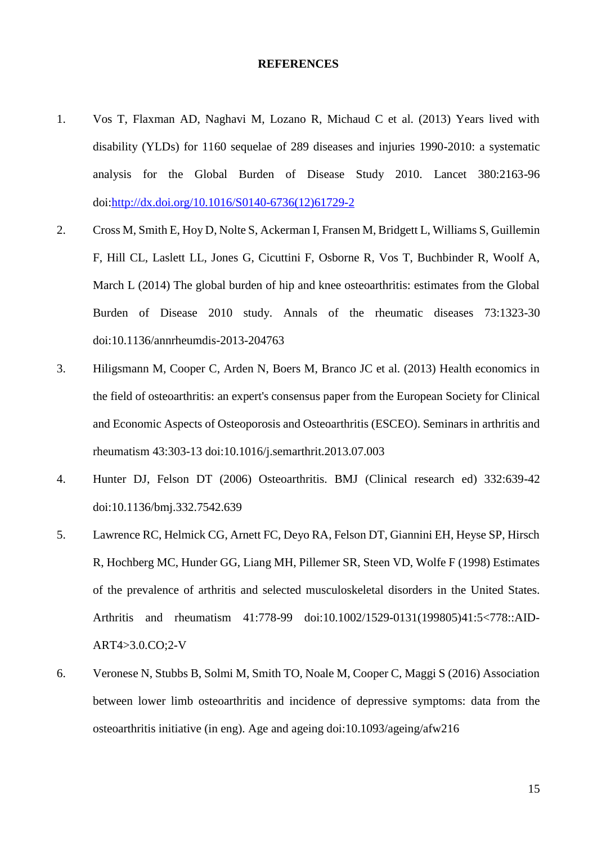# **REFERENCES**

- <span id="page-14-0"></span>1. Vos T, Flaxman AD, Naghavi M, Lozano R, Michaud C et al. (2013) Years lived with disability (YLDs) for 1160 sequelae of 289 diseases and injuries 1990-2010: a systematic analysis for the Global Burden of Disease Study 2010. Lancet 380:2163-96 doi[:http://dx.doi.org/10.1016/S0140-6736\(12\)61729-2](http://dx.doi.org/10.1016/S0140-6736(12)61729-2)
- <span id="page-14-1"></span>2. Cross M, Smith E, Hoy D, Nolte S, Ackerman I, Fransen M, Bridgett L, Williams S, Guillemin F, Hill CL, Laslett LL, Jones G, Cicuttini F, Osborne R, Vos T, Buchbinder R, Woolf A, March L (2014) The global burden of hip and knee osteoarthritis: estimates from the Global Burden of Disease 2010 study. Annals of the rheumatic diseases 73:1323-30 doi:10.1136/annrheumdis-2013-204763
- <span id="page-14-2"></span>3. Hiligsmann M, Cooper C, Arden N, Boers M, Branco JC et al. (2013) Health economics in the field of osteoarthritis: an expert's consensus paper from the European Society for Clinical and Economic Aspects of Osteoporosis and Osteoarthritis (ESCEO). Seminars in arthritis and rheumatism 43:303-13 doi:10.1016/j.semarthrit.2013.07.003
- <span id="page-14-3"></span>4. Hunter DJ, Felson DT (2006) Osteoarthritis. BMJ (Clinical research ed) 332:639-42 doi:10.1136/bmj.332.7542.639
- 5. Lawrence RC, Helmick CG, Arnett FC, Deyo RA, Felson DT, Giannini EH, Heyse SP, Hirsch R, Hochberg MC, Hunder GG, Liang MH, Pillemer SR, Steen VD, Wolfe F (1998) Estimates of the prevalence of arthritis and selected musculoskeletal disorders in the United States. Arthritis and rheumatism 41:778-99 doi:10.1002/1529-0131(199805)41:5<778::AID-ART4>3.0.CO;2-V
- 6. Veronese N, Stubbs B, Solmi M, Smith TO, Noale M, Cooper C, Maggi S (2016) Association between lower limb osteoarthritis and incidence of depressive symptoms: data from the osteoarthritis initiative (in eng). Age and ageing doi:10.1093/ageing/afw216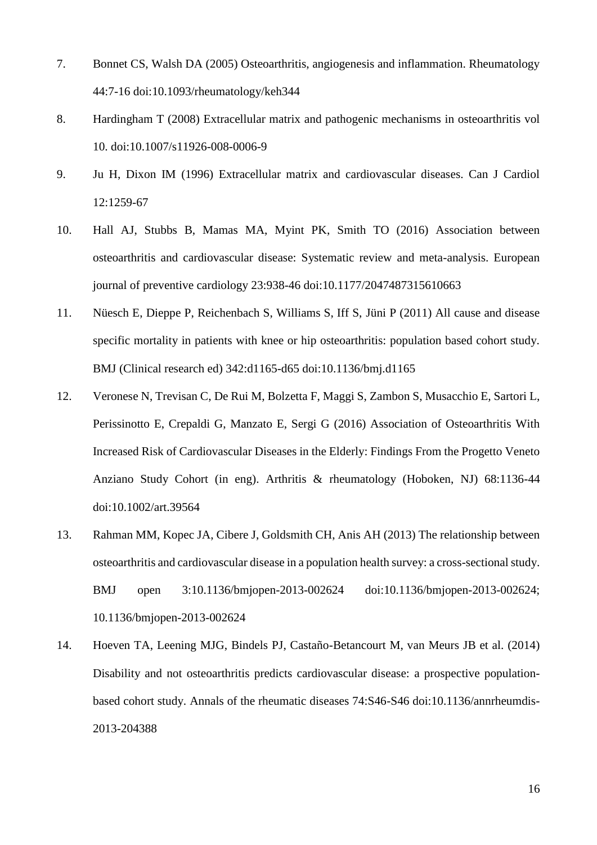- <span id="page-15-0"></span>7. Bonnet CS, Walsh DA (2005) Osteoarthritis, angiogenesis and inflammation. Rheumatology 44:7-16 doi:10.1093/rheumatology/keh344
- <span id="page-15-1"></span>8. Hardingham T (2008) Extracellular matrix and pathogenic mechanisms in osteoarthritis vol 10. doi:10.1007/s11926-008-0006-9
- <span id="page-15-2"></span>9. Ju H, Dixon IM (1996) Extracellular matrix and cardiovascular diseases. Can J Cardiol 12:1259-67
- <span id="page-15-3"></span>10. Hall AJ, Stubbs B, Mamas MA, Myint PK, Smith TO (2016) Association between osteoarthritis and cardiovascular disease: Systematic review and meta-analysis. European journal of preventive cardiology 23:938-46 doi:10.1177/2047487315610663
- <span id="page-15-4"></span>11. Nüesch E, Dieppe P, Reichenbach S, Williams S, Iff S, Jüni P (2011) All cause and disease specific mortality in patients with knee or hip osteoarthritis: population based cohort study. BMJ (Clinical research ed) 342:d1165-d65 doi:10.1136/bmj.d1165
- <span id="page-15-6"></span>12. Veronese N, Trevisan C, De Rui M, Bolzetta F, Maggi S, Zambon S, Musacchio E, Sartori L, Perissinotto E, Crepaldi G, Manzato E, Sergi G (2016) Association of Osteoarthritis With Increased Risk of Cardiovascular Diseases in the Elderly: Findings From the Progetto Veneto Anziano Study Cohort (in eng). Arthritis & rheumatology (Hoboken, NJ) 68:1136-44 doi:10.1002/art.39564
- 13. Rahman MM, Kopec JA, Cibere J, Goldsmith CH, Anis AH (2013) The relationship between osteoarthritis and cardiovascular disease in a population health survey: a cross-sectional study. BMJ open 3:10.1136/bmjopen-2013-002624 doi:10.1136/bmjopen-2013-002624; 10.1136/bmjopen-2013-002624
- <span id="page-15-5"></span>14. Hoeven TA, Leening MJG, Bindels PJ, Castaño-Betancourt M, van Meurs JB et al. (2014) Disability and not osteoarthritis predicts cardiovascular disease: a prospective populationbased cohort study. Annals of the rheumatic diseases 74:S46-S46 doi:10.1136/annrheumdis-2013-204388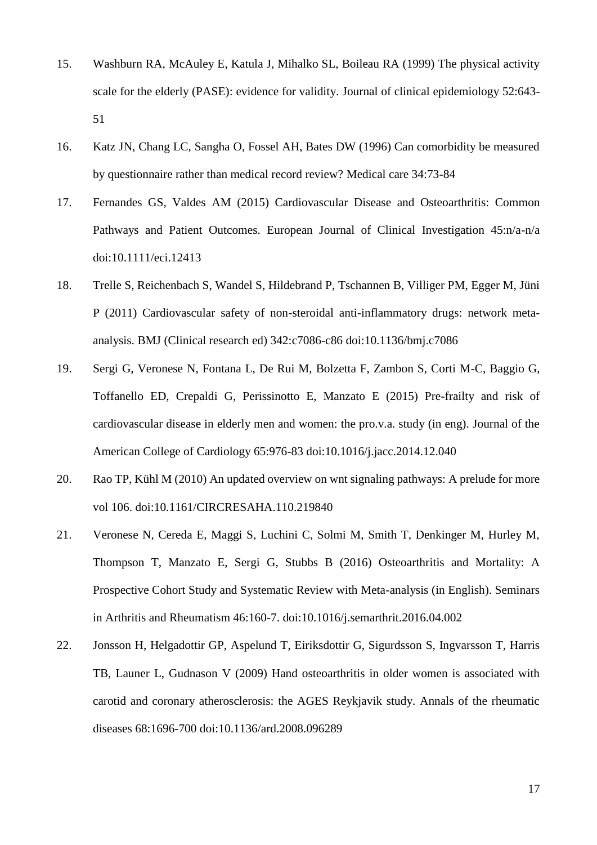- <span id="page-16-0"></span>15. Washburn RA, McAuley E, Katula J, Mihalko SL, Boileau RA (1999) The physical activity scale for the elderly (PASE): evidence for validity. Journal of clinical epidemiology 52:643- 51
- <span id="page-16-1"></span>16. Katz JN, Chang LC, Sangha O, Fossel AH, Bates DW (1996) Can comorbidity be measured by questionnaire rather than medical record review? Medical care 34:73-84
- <span id="page-16-2"></span>17. Fernandes GS, Valdes AM (2015) Cardiovascular Disease and Osteoarthritis: Common Pathways and Patient Outcomes. European Journal of Clinical Investigation 45:n/a-n/a doi:10.1111/eci.12413
- <span id="page-16-3"></span>18. Trelle S, Reichenbach S, Wandel S, Hildebrand P, Tschannen B, Villiger PM, Egger M, Jüni P (2011) Cardiovascular safety of non-steroidal anti-inflammatory drugs: network metaanalysis. BMJ (Clinical research ed) 342:c7086-c86 doi:10.1136/bmj.c7086
- <span id="page-16-4"></span>19. Sergi G, Veronese N, Fontana L, De Rui M, Bolzetta F, Zambon S, Corti M-C, Baggio G, Toffanello ED, Crepaldi G, Perissinotto E, Manzato E (2015) Pre-frailty and risk of cardiovascular disease in elderly men and women: the pro.v.a. study (in eng). Journal of the American College of Cardiology 65:976-83 doi:10.1016/j.jacc.2014.12.040
- <span id="page-16-5"></span>20. Rao TP, Kühl M (2010) An updated overview on wnt signaling pathways: A prelude for more vol 106. doi:10.1161/CIRCRESAHA.110.219840
- <span id="page-16-6"></span>21. Veronese N, Cereda E, Maggi S, Luchini C, Solmi M, Smith T, Denkinger M, Hurley M, Thompson T, Manzato E, Sergi G, Stubbs B (2016) Osteoarthritis and Mortality: A Prospective Cohort Study and Systematic Review with Meta-analysis (in English). Seminars in Arthritis and Rheumatism 46:160-7. doi:10.1016/j.semarthrit.2016.04.002
- <span id="page-16-7"></span>22. Jonsson H, Helgadottir GP, Aspelund T, Eiriksdottir G, Sigurdsson S, Ingvarsson T, Harris TB, Launer L, Gudnason V (2009) Hand osteoarthritis in older women is associated with carotid and coronary atherosclerosis: the AGES Reykjavik study. Annals of the rheumatic diseases 68:1696-700 doi:10.1136/ard.2008.096289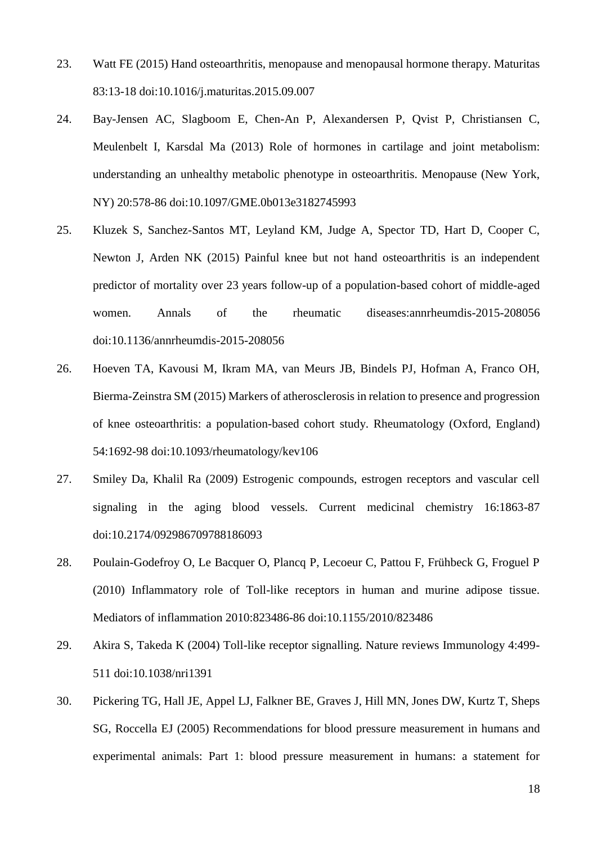- <span id="page-17-0"></span>23. Watt FE (2015) Hand osteoarthritis, menopause and menopausal hormone therapy. Maturitas 83:13-18 doi:10.1016/j.maturitas.2015.09.007
- <span id="page-17-1"></span>24. Bay-Jensen AC, Slagboom E, Chen-An P, Alexandersen P, Qvist P, Christiansen C, Meulenbelt I, Karsdal Ma (2013) Role of hormones in cartilage and joint metabolism: understanding an unhealthy metabolic phenotype in osteoarthritis. Menopause (New York, NY) 20:578-86 doi:10.1097/GME.0b013e3182745993
- <span id="page-17-2"></span>25. Kluzek S, Sanchez-Santos MT, Leyland KM, Judge A, Spector TD, Hart D, Cooper C, Newton J, Arden NK (2015) Painful knee but not hand osteoarthritis is an independent predictor of mortality over 23 years follow-up of a population-based cohort of middle-aged women. Annals of the rheumatic diseases:annrheumdis-2015-208056 doi:10.1136/annrheumdis-2015-208056
- <span id="page-17-3"></span>26. Hoeven TA, Kavousi M, Ikram MA, van Meurs JB, Bindels PJ, Hofman A, Franco OH, Bierma-Zeinstra SM (2015) Markers of atherosclerosis in relation to presence and progression of knee osteoarthritis: a population-based cohort study. Rheumatology (Oxford, England) 54:1692-98 doi:10.1093/rheumatology/kev106
- <span id="page-17-4"></span>27. Smiley Da, Khalil Ra (2009) Estrogenic compounds, estrogen receptors and vascular cell signaling in the aging blood vessels. Current medicinal chemistry 16:1863-87 doi:10.2174/092986709788186093
- <span id="page-17-5"></span>28. Poulain-Godefroy O, Le Bacquer O, Plancq P, Lecoeur C, Pattou F, Frühbeck G, Froguel P (2010) Inflammatory role of Toll-like receptors in human and murine adipose tissue. Mediators of inflammation 2010:823486-86 doi:10.1155/2010/823486
- <span id="page-17-6"></span>29. Akira S, Takeda K (2004) Toll-like receptor signalling. Nature reviews Immunology 4:499- 511 doi:10.1038/nri1391
- <span id="page-17-7"></span>30. Pickering TG, Hall JE, Appel LJ, Falkner BE, Graves J, Hill MN, Jones DW, Kurtz T, Sheps SG, Roccella EJ (2005) Recommendations for blood pressure measurement in humans and experimental animals: Part 1: blood pressure measurement in humans: a statement for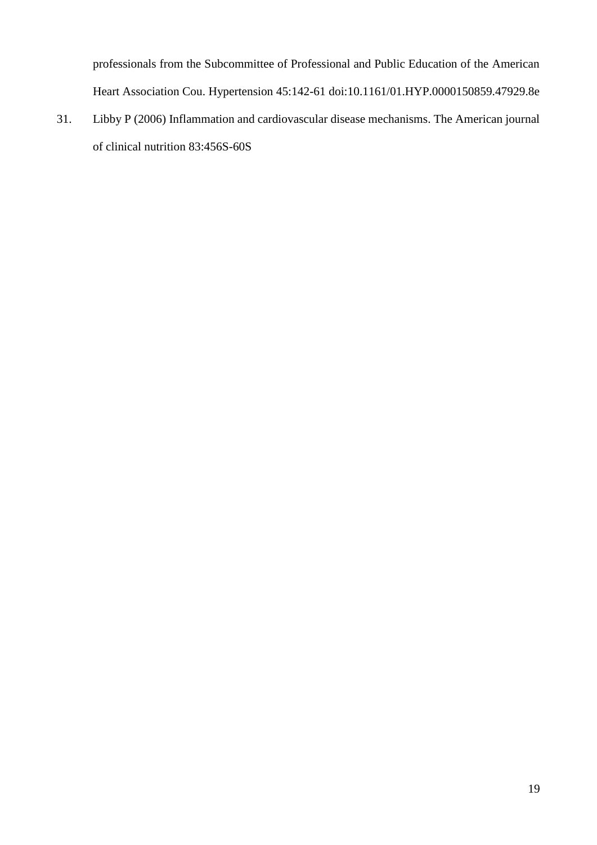professionals from the Subcommittee of Professional and Public Education of the American Heart Association Cou. Hypertension 45:142-61 doi:10.1161/01.HYP.0000150859.47929.8e

<span id="page-18-0"></span>31. Libby P (2006) Inflammation and cardiovascular disease mechanisms. The American journal of clinical nutrition 83:456S-60S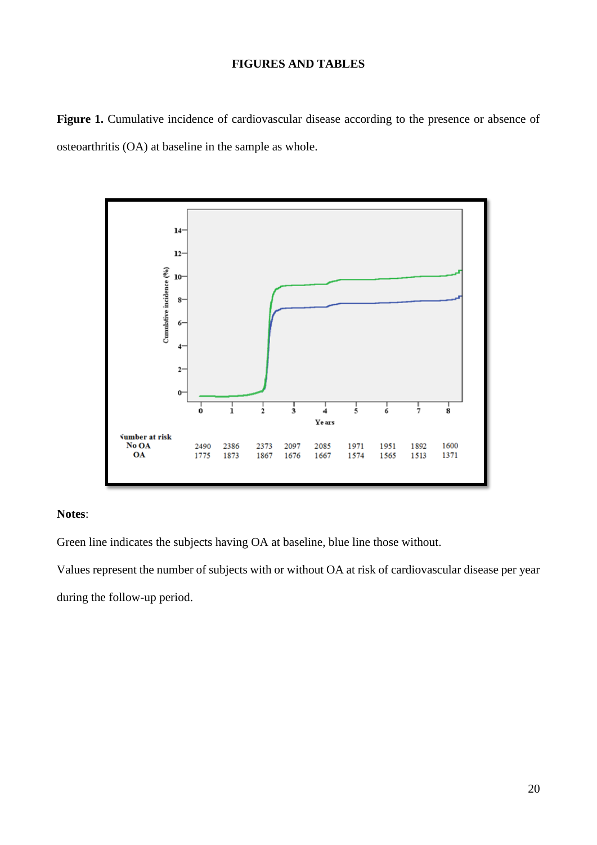# **FIGURES AND TABLES**

Figure 1. Cumulative incidence of cardiovascular disease according to the presence or absence of osteoarthritis (OA) at baseline in the sample as whole.



# **Notes**:

Green line indicates the subjects having OA at baseline, blue line those without.

Values represent the number of subjects with or without OA at risk of cardiovascular disease per year during the follow-up period.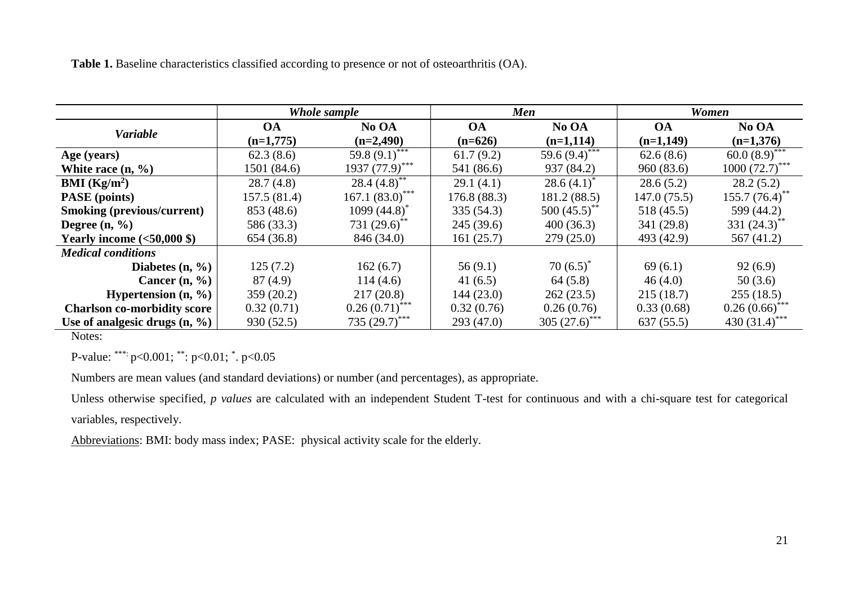**Table 1.** Baseline characteristics classified according to presence or not of osteoarthritis (OA).

|                                                            | Whole sample |                              | <b>Men</b>   |                               | Women       |                              |
|------------------------------------------------------------|--------------|------------------------------|--------------|-------------------------------|-------------|------------------------------|
| <b>Variable</b>                                            | <b>OA</b>    | No OA                        | <b>OA</b>    | No OA                         | <b>OA</b>   | No OA                        |
|                                                            | $(n=1,775)$  | $(n=2,490)$                  | $(n=626)$    | $(n=1,114)$                   | $(n=1,149)$ | $(n=1,376)$                  |
| Age (years)                                                | 62.3(8.6)    | 59.8 $(9.1)$ <sup>***</sup>  | 61.7(9.2)    | 59.6 $\overline{(9.4)}^{***}$ | 62.6(8.6)   | 60.0 $(8.9)^{***}$           |
| White race $(n, \frac{9}{6})$                              | 1501 (84.6)  | $1937 (77.9)$ <sup>***</sup> | 541 (86.6)   | 937 (84.2)                    | 960(83.6)   | $1000 (72.7)$ ***            |
| <b>BMI</b> ( $\text{Kg/m}^2$ )                             | 28.7(4.8)    | 28.4 $(4.8)$ <sup>**</sup>   | 29.1(4.1)    | 28.6 $(4.1)^*$                | 28.6(5.2)   | 28.2(5.2)                    |
| <b>PASE</b> (points)                                       | 157.5 (81.4) | $167.1~(83.0)$ ***           | 176.8 (88.3) | 181.2 (88.5)                  | 147.0(75.5) | $155.7 (76.4)$ <sup>**</sup> |
| <b>Smoking (previous/current)</b>                          | 853 (48.6)   | 1099 $(44.8)^{*}$            | 335(54.3)    | $500(45.5)$ **                | 518 (45.5)  | 599 (44.2)                   |
| Degree $(n, \frac{9}{6})$                                  | 586 (33.3)   | 731 $(29.6)$ <sup>**</sup>   | 245(39.6)    | 400(36.3)                     | 341 (29.8)  | 331 $(24.3)$ <sup>**</sup>   |
| Yearly income $\left( <50,000 \text{ \textdegree }\right)$ | 654 (36.8)   | 846 (34.0)                   | 161(25.7)    | 279(25.0)                     | 493 (42.9)  | 567(41.2)                    |
| <b>Medical conditions</b>                                  |              |                              |              |                               |             |                              |
| Diabetes $(n, %)$                                          | 125(7.2)     | 162(6.7)                     | 56(9.1)      | $70(6.5)^{*}$                 | 69(6.1)     | 92(6.9)                      |
| Cancer $(n, %)$                                            | 87 (4.9)     | 114(4.6)                     | 41 $(6.5)$   | 64(5.8)                       | 46(4.0)     | 50(3.6)                      |
| <b>Hypertension</b> $(n, %)$                               | 359(20.2)    | 217(20.8)                    | 144(23.0)    | 262(23.5)                     | 215(18.7)   | 255(18.5)                    |
| <b>Charlson co-morbidity score</b>                         | 0.32(0.71)   | $0.26(0.71)$ ***             | 0.32(0.76)   | 0.26(0.76)                    | 0.33(0.68)  | $0.26(0.66)$ ***             |
| Use of analgesic drugs $(n, \frac{9}{6})$                  | 930(52.5)    | 735 $(29.7)$ ***             | 293(47.0)    | 305 $(27.6)$ <sup>****</sup>  | 637(55.5)   | 430 $(31.4)$ <sup>***</sup>  |

Notes:

P-value: \*\*\*: p<0.001; \*\*: p<0.01; \* . p<0.05

Numbers are mean values (and standard deviations) or number (and percentages), as appropriate.

Unless otherwise specified, *p values* are calculated with an independent Student T-test for continuous and with a chi-square test for categorical variables, respectively.

Abbreviations: BMI: body mass index; PASE: physical activity scale for the elderly.